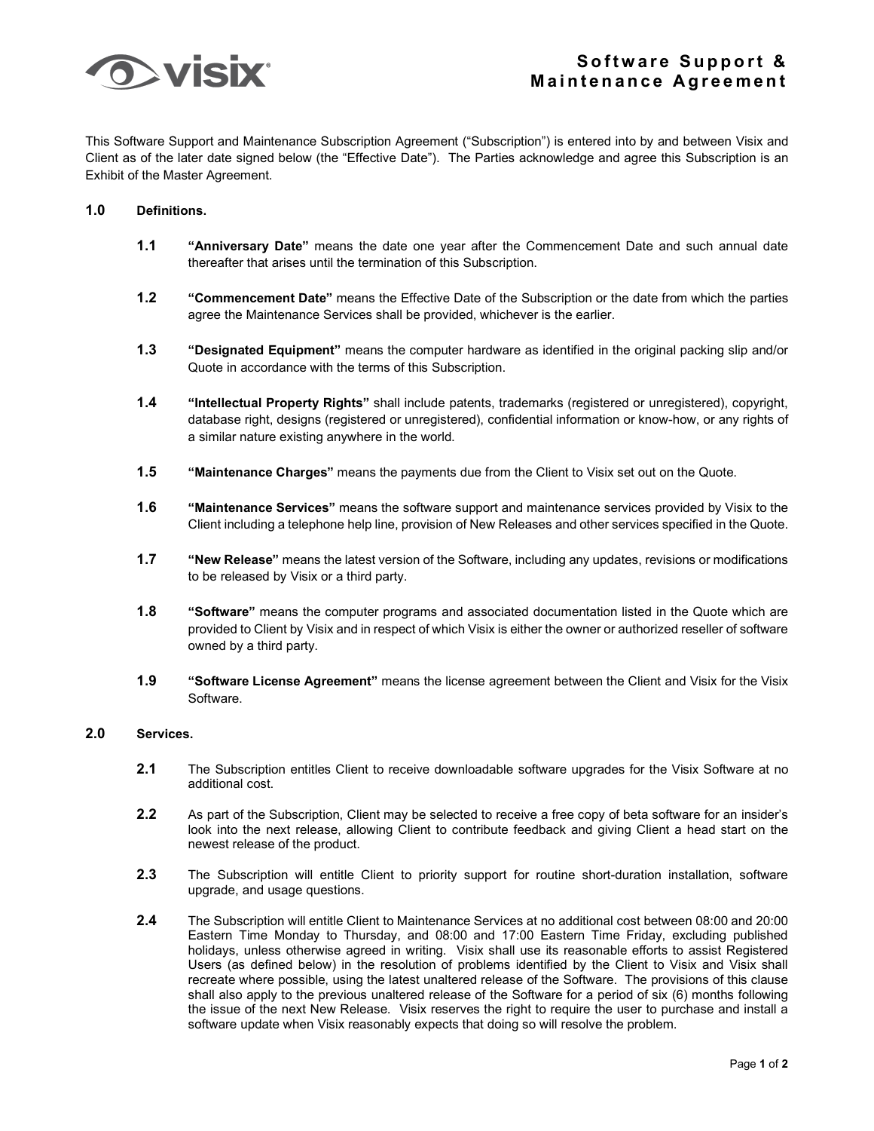

This Software Support and Maintenance Subscription Agreement ("Subscription") is entered into by and between Visix and Client as of the later date signed below (the "Effective Date"). The Parties acknowledge and agree this Subscription is an Exhibit of the Master Agreement.

## **1.0 Definitions.**

- **1.1 "Anniversary Date"** means the date one year after the Commencement Date and such annual date thereafter that arises until the termination of this Subscription.
- **1.2 "Commencement Date"** means the Effective Date of the Subscription or the date from which the parties agree the Maintenance Services shall be provided, whichever is the earlier.
- **1.3 "Designated Equipment"** means the computer hardware as identified in the original packing slip and/or Quote in accordance with the terms of this Subscription.
- **1.4 "Intellectual Property Rights"** shall include patents, trademarks (registered or unregistered), copyright, database right, designs (registered or unregistered), confidential information or know-how, or any rights of a similar nature existing anywhere in the world.
- **1.5 "Maintenance Charges"** means the payments due from the Client to Visix set out on the Quote.
- **1.6 "Maintenance Services"** means the software support and maintenance services provided by Visix to the Client including a telephone help line, provision of New Releases and other services specified in the Quote.
- **1.7 "New Release"** means the latest version of the Software, including any updates, revisions or modifications to be released by Visix or a third party.
- **1.8 "Software"** means the computer programs and associated documentation listed in the Quote which are provided to Client by Visix and in respect of which Visix is either the owner or authorized reseller of software owned by a third party.
- **1.9 "Software License Agreement"** means the license agreement between the Client and Visix for the Visix Software.

## **2.0 Services.**

- **2.1** The Subscription entitles Client to receive downloadable software upgrades for the Visix Software at no additional cost.
- **2.2** As part of the Subscription, Client may be selected to receive a free copy of beta software for an insider's look into the next release, allowing Client to contribute feedback and giving Client a head start on the newest release of the product.
- **2.3** The Subscription will entitle Client to priority support for routine short-duration installation, software upgrade, and usage questions.
- **2.4** The Subscription will entitle Client to Maintenance Services at no additional cost between 08:00 and 20:00 Eastern Time Monday to Thursday, and 08:00 and 17:00 Eastern Time Friday, excluding published holidays, unless otherwise agreed in writing. Visix shall use its reasonable efforts to assist Registered Users (as defined below) in the resolution of problems identified by the Client to Visix and Visix shall recreate where possible, using the latest unaltered release of the Software. The provisions of this clause shall also apply to the previous unaltered release of the Software for a period of six (6) months following the issue of the next New Release. Visix reserves the right to require the user to purchase and install a software update when Visix reasonably expects that doing so will resolve the problem.